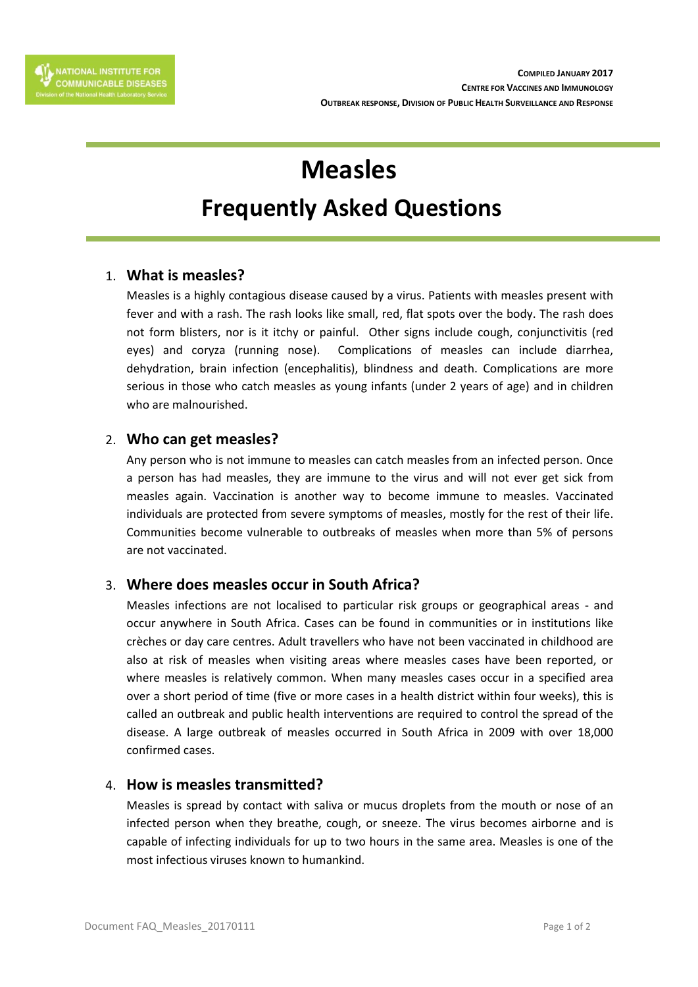# **Measles**

# **Frequently Asked Questions**

### 1. **What is measles?**

Measles is a highly contagious disease caused by a virus. Patients with measles present with fever and with a rash. The rash looks like small, red, flat spots over the body. The rash does not form blisters, nor is it itchy or painful. Other signs include cough, conjunctivitis (red eyes) and coryza (running nose). Complications of measles can include diarrhea, dehydration, brain infection (encephalitis), blindness and death. Complications are more serious in those who catch measles as young infants (under 2 years of age) and in children who are malnourished.

#### 2. **Who can get measles?**

Any person who is not immune to measles can catch measles from an infected person. Once a person has had measles, they are immune to the virus and will not ever get sick from measles again. Vaccination is another way to become immune to measles. Vaccinated individuals are protected from severe symptoms of measles, mostly for the rest of their life. Communities become vulnerable to outbreaks of measles when more than 5% of persons are not vaccinated.

## 3. **Where does measles occur in South Africa?**

Measles infections are not localised to particular risk groups or geographical areas - and occur anywhere in South Africa. Cases can be found in communities or in institutions like crèches or day care centres. Adult travellers who have not been vaccinated in childhood are also at risk of measles when visiting areas where measles cases have been reported, or where measles is relatively common. When many measles cases occur in a specified area over a short period of time (five or more cases in a health district within four weeks), this is called an outbreak and public health interventions are required to control the spread of the disease. A large outbreak of measles occurred in South Africa in 2009 with over 18,000 confirmed cases.

#### 4. **How is measles transmitted?**

Measles is spread by contact with saliva or mucus droplets from the mouth or nose of an infected person when they breathe, cough, or sneeze. The virus becomes airborne and is capable of infecting individuals for up to two hours in the same area. Measles is one of the most infectious viruses known to humankind.